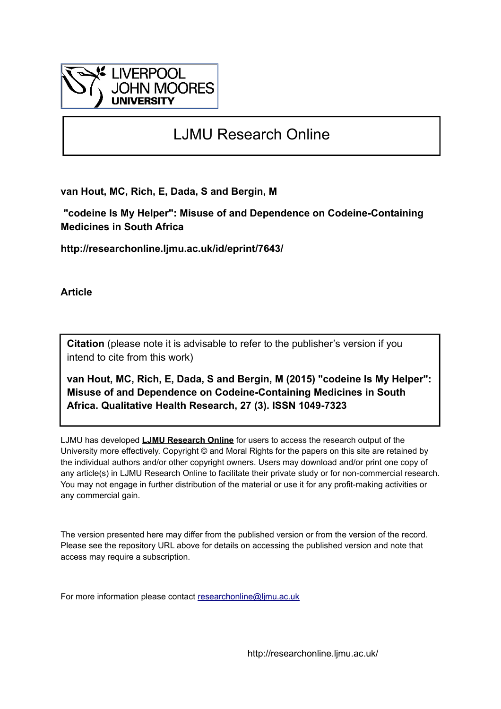

# LJMU Research Online

**van Hout, MC, Rich, E, Dada, S and Bergin, M**

 **"codeine Is My Helper": Misuse of and Dependence on Codeine-Containing Medicines in South Africa**

**http://researchonline.ljmu.ac.uk/id/eprint/7643/**

**Article**

**Citation** (please note it is advisable to refer to the publisher's version if you intend to cite from this work)

**van Hout, MC, Rich, E, Dada, S and Bergin, M (2015) "codeine Is My Helper": Misuse of and Dependence on Codeine-Containing Medicines in South Africa. Qualitative Health Research, 27 (3). ISSN 1049-7323** 

LJMU has developed **[LJMU Research Online](http://researchonline.ljmu.ac.uk/)** for users to access the research output of the University more effectively. Copyright © and Moral Rights for the papers on this site are retained by the individual authors and/or other copyright owners. Users may download and/or print one copy of any article(s) in LJMU Research Online to facilitate their private study or for non-commercial research. You may not engage in further distribution of the material or use it for any profit-making activities or any commercial gain.

The version presented here may differ from the published version or from the version of the record. Please see the repository URL above for details on accessing the published version and note that access may require a subscription.

For more information please contact [researchonline@ljmu.ac.uk](mailto:researchonline@ljmu.ac.uk)

http://researchonline.ljmu.ac.uk/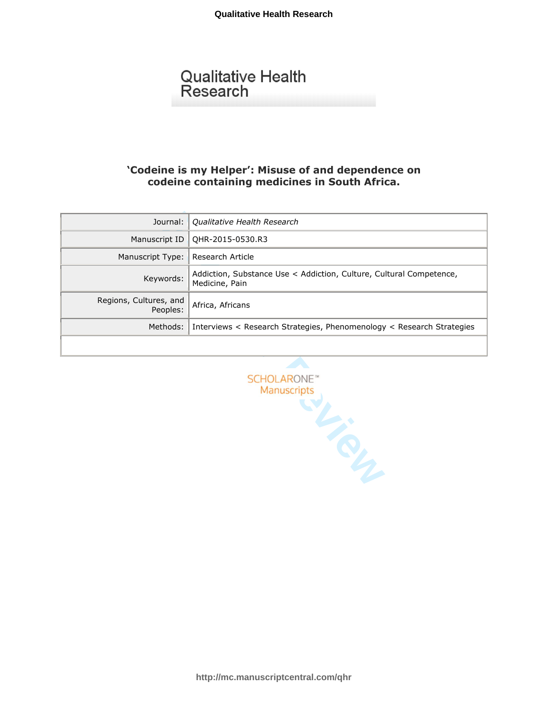# **'Codeine is my Helper': Misuse of and dependence on codeine containing medicines in South Africa.**

| Journal:                            | Qualitative Health Research                                                           |  |
|-------------------------------------|---------------------------------------------------------------------------------------|--|
| Manuscript ID                       | OHR-2015-0530.R3                                                                      |  |
| Manuscript Type:   Research Article |                                                                                       |  |
| Keywords:                           | Addiction, Substance Use < Addiction, Culture, Cultural Competence,<br>Medicine, Pain |  |
| Regions, Cultures, and<br>Peoples:  | Africa, Africans                                                                      |  |
| Methods:                            | Interviews < Research Strategies, Phenomenology < Research Strategies                 |  |
|                                     |                                                                                       |  |

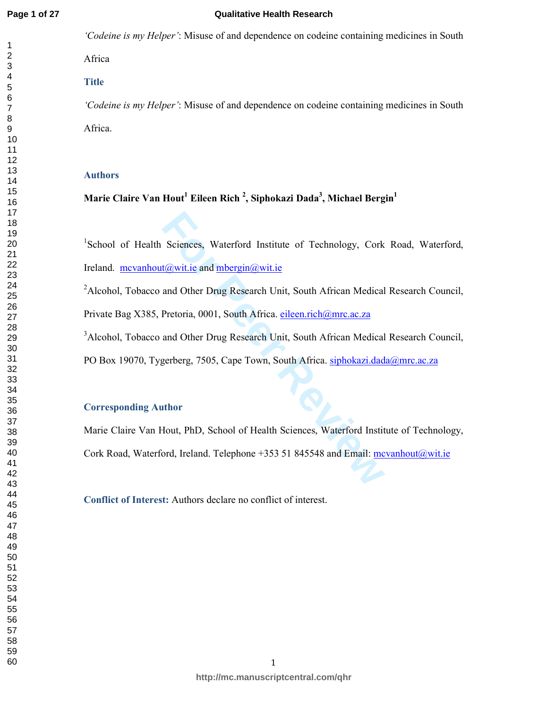#### **Qualitative Health Research**

*'Codeine is my Helper'*: Misuse of and dependence on codeine containing medicines in South

Africa

# **Title**

*'Codeine is my Helper'*: Misuse of and dependence on codeine containing medicines in South Africa.

#### **Authors**

# **Marie Claire Van Hout 1 Eileen Rich 2 , Siphokazi Dada 3 , Michael Bergin<sup>1</sup>**

<sup>1</sup>School of Health Sciences, Waterford Institute of Technology, Cork Road, Waterford, Ireland. mcvanhout@wit.ie and mbergin@wit.ie

Sciences, Waterford Institute of Technology, Cork<br>
<u>t@wit.ie</u> and <u>mbergin@wit.ie</u><br>
and Other Drug Research Unit, South African Medical<br>
Pretoria, 0001, South Africa. <u>eileen.rich@mrc.ac.za</u><br>
and Other Drug Research Unit, <sup>2</sup> Alcohol, Tobacco and Other Drug Research Unit, South African Medical Research Council, Private Bag X385, Pretoria, 0001, South Africa. eileen.rich@mrc.ac.za

<sup>3</sup> Alcohol, Tobacco and Other Drug Research Unit, South African Medical Research Council,

PO Box 19070, Tygerberg, 7505, Cape Town, South Africa. siphokazi.dada@mrc.ac.za

# **Corresponding Author**

Marie Claire Van Hout, PhD, School of Health Sciences, Waterford Institute of Technology, Cork Road, Waterford, Ireland. Telephone +353 51 845548 and Email: mcvanhout@wit.ie

**Conflict of Interest:** Authors declare no conflict of interest.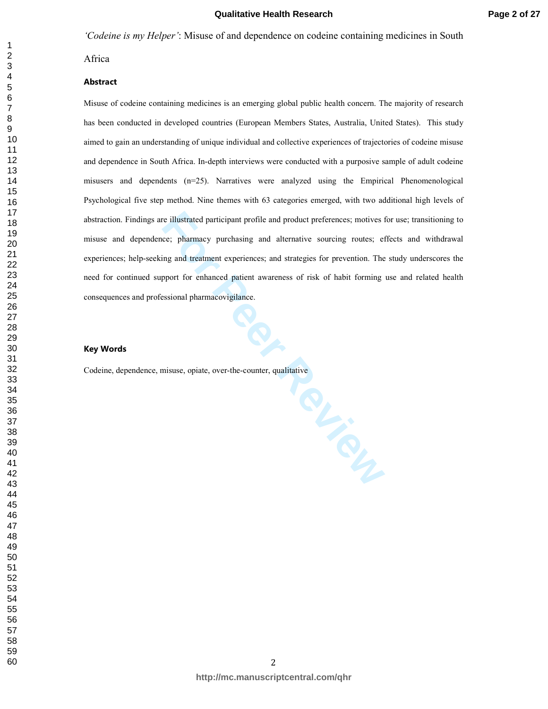# Africa

# **Abstract**

Misuse of codeine containing medicines is an emerging global public health concern. The majority of research has been conducted in developed countries (European Members States, Australia, United States). This study aimed to gain an understanding of unique individual and collective experiences of trajectories of codeine misuse and dependence in South Africa. In-depth interviews were conducted with a purposive sample of adult codeine misusers and dependents (n=25). Narratives were analyzed using the Empirical Phenomenological Psychological five step method. Nine themes with 63 categories emerged, with two additional high levels of abstraction. Findings are illustrated participant profile and product preferences; motives for use; transitioning to misuse and dependence; pharmacy purchasing and alternative sourcing routes; effects and withdrawal experiences; help-seeking and treatment experiences; and strategies for prevention. The study underscores the need for continued support for enhanced patient awareness of risk of habit forming use and related health consequences and professional pharmacovigilance.

#### **Key Words**

Codeine, dependence, misuse, opiate, over-the-counter, qualitative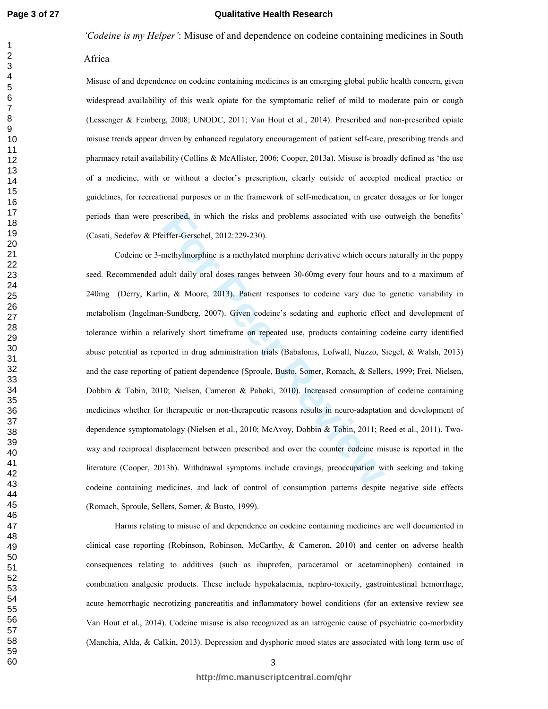*'Codeine is my Helper'*: Misuse of and dependence on codeine containing medicines in South

Misuse of and dependence on codeine containing medicines is an emerging global public health concern, given widespread availability of this weak opiate for the symptomatic relief of mild to moderate pain or cough (Lessenger & Feinberg, 2008; UNODC, 2011; Van Hout et al., 2014). Prescribed and non-prescribed opiate misuse trends appear driven by enhanced regulatory encouragement of patient self-care, prescribing trends and pharmacy retail availability (Collins & McAllister, 2006; Cooper, 2013a). Misuse is broadly defined as 'the use of a medicine, with or without a doctor's prescription, clearly outside of accepted medical practice or guidelines, for recreational purposes or in the framework of self-medication, in greater dosages or for longer periods than were prescribed, in which the risks and problems associated with use outweigh the benefits' (Casati, Sedefov & Pfeiffer-Gerschel, 2012:229-230).

escribed, in which the risks and problems associated with use effer-Gerschel, 2012:229-230).<br>
Herbylmorphine is a methylated morphine derivative which occurs<br>
dult daily oral doses ranges between 30-60mg every four hours<br> Codeine or 3-methylmorphine is a methylated morphine derivative which occurs naturally in the poppy seed. Recommended adult daily oral doses ranges between 30-60mg every four hours and to a maximum of 240mg (Derry, Karlin, & Moore, 2013). Patient responses to codeine vary due to genetic variability in metabolism (Ingelman-Sundberg, 2007). Given codeine's sedating and euphoric effect and development of tolerance within a relatively short timeframe on repeated use, products containing codeine carry identified abuse potential as reported in drug administration trials (Babalonis, Lofwall, Nuzzo, Siegel, & Walsh, 2013) and the case reporting of patient dependence (Sproule, Busto, Somer, Romach, & Sellers, 1999; Frei, Nielsen, Dobbin & Tobin, 2010; Nielsen, Cameron & Pahoki, 2010). Increased consumption of codeine containing medicines whether for therapeutic or non-therapeutic reasons results in neuro-adaptation and development of dependence symptomatology (Nielsen et al., 2010; McAvoy, Dobbin & Tobin, 2011; Reed et al., 2011). Two way and reciprocal displacement between prescribed and over the counter codeine misuse is reported in the literature (Cooper, 2013b). Withdrawal symptoms include cravings, preoccupation with seeking and taking codeine containing medicines, and lack of control of consumption patterns despite negative side effects (Romach, Sproule, Sellers, Somer, & Busto, 1999).

Harms relating to misuse of and dependence on codeine containing medicines are well documented in clinical case reporting (Robinson, Robinson, McCarthy, & Cameron, 2010) and center on adverse health consequences relating to additives (such as ibuprofen, paracetamol or acetaminophen) contained in combination analgesic products. These include hypokalaemia, nephro-toxicity, gastrointestinal hemorrhage, acute hemorrhagic necrotizing pancreatitis and inflammatory bowel conditions (for an extensive review see Van Hout et al., 2014). Codeine misuse is also recognized as an iatrogenic cause of psychiatric co-morbidity (Manchia, Alda, & Calkin, 2013). Depression and dysphoric mood states are associated with long term use of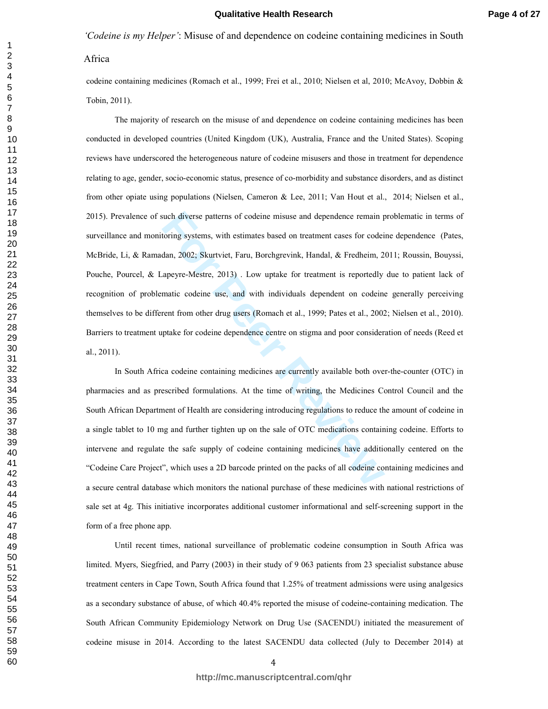Africa

codeine containing medicines (Romach et al., 1999; Frei et al., 2010; Nielsen et al, 2010; McAvoy, Dobbin & Tobin, 2011).

such diverse patterns of codeine misuse and dependence remain proring systems, with estimates based on treatment cases for codei<br>dan, 2002; Skurtviet, Faru, Borchgrevink, Handal, & Fredheim, 2<br>apeyre-Mestre, 2013). Low upt The majority of research on the misuse of and dependence on codeine containing medicines has been conducted in developed countries (United Kingdom (UK), Australia, France and the United States). Scoping reviews have underscored the heterogeneous nature of codeine misusers and those in treatment for dependence relating to age, gender, socio-economic status, presence of co-morbidity and substance disorders, and as distinct from other opiate using populations (Nielsen, Cameron & Lee, 2011; Van Hout et al., 2014; Nielsen et al., 2015). Prevalence of such diverse patterns of codeine misuse and dependence remain problematic in terms of surveillance and monitoring systems, with estimates based on treatment cases for codeine dependence (Pates, McBride, Li, & Ramadan, 2002; Skurtviet, Faru, Borchgrevink, Handal, & Fredheim, 2011; Roussin, Bouyssi, Pouche, Pourcel, & Lapeyre-Mestre, 2013) . Low uptake for treatment is reportedly due to patient lack of recognition of problematic codeine use, and with individuals dependent on codeine generally perceiving themselves to be different from other drug users (Romach et al., 1999; Pates et al., 2002; Nielsen et al., 2010). Barriers to treatment uptake for codeine dependence centre on stigma and poor consideration of needs (Reed et al., 2011).

In South Africa codeine containing medicines are currently available both over-the-counter (OTC) in pharmacies and as prescribed formulations. At the time of writing, the Medicines Control Council and the South African Department of Health are considering introducing regulations to reduce the amount of codeine in a single tablet to 10 mg and further tighten up on the sale of OTC medications containing codeine. Efforts to intervene and regulate the safe supply of codeine containing medicines have additionally centered on the "Codeine Care Project", which uses a 2D barcode printed on the packs of all codeine containing medicines and a secure central database which monitors the national purchase of these medicines with national restrictions of sale set at 4g. This initiative incorporates additional customer informational and self-screening support in the form of a free phone app.

Until recent times, national surveillance of problematic codeine consumption in South Africa was limited. Myers, Siegfried, and Parry (2003) in their study of 9 063 patients from 23 specialist substance abuse treatment centers in Cape Town, South Africa found that 1.25% of treatment admissions were using analgesics as a secondary substance of abuse, of which 40.4% reported the misuse of codeine-containing medication. The South African Community Epidemiology Network on Drug Use (SACENDU) initiated the measurement of codeine misuse in 2014. According to the latest SACENDU data collected (July to December 2014) at

 $\overline{2}$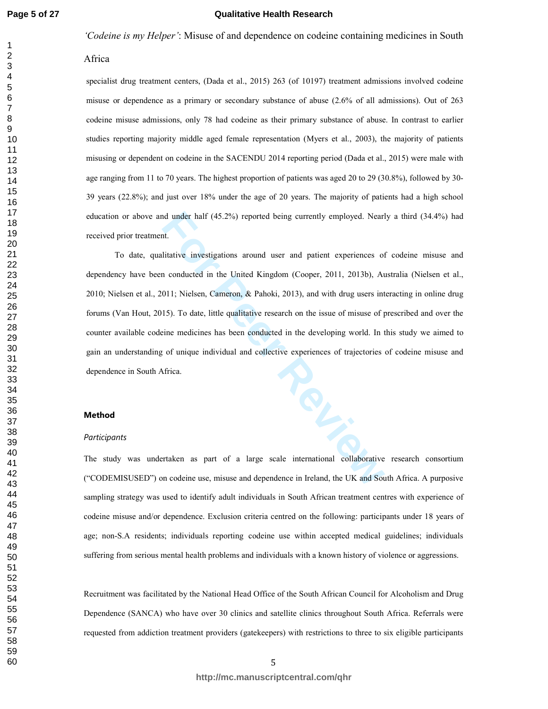*'Codeine is my Helper'*: Misuse of and dependence on codeine containing medicines in South

# Africa

specialist drug treatment centers, (Dada et al., 2015) 263 (of 10197) treatment admissions involved codeine misuse or dependence as a primary or secondary substance of abuse (2.6% of all admissions). Out of 263 codeine misuse admissions, only 78 had codeine as their primary substance of abuse. In contrast to earlier studies reporting majority middle aged female representation (Myers et al., 2003), the majority of patients misusing or dependent on codeine in the SACENDU 2014 reporting period (Dada et al., 2015) were male with age ranging from 11 to 70 years. The highest proportion of patients was aged 20 to 29 (30.8%), followed by 30- 39 years (22.8%); and just over 18% under the age of 20 years. The majority of patients had a high school education or above and under half (45.2%) reported being currently employed. Nearly a third (34.4%) had received prior treatment.

nd under half (45.2%) reported being currently employed. Nearl<br>
At.<br>
Itative investigations around user and patient experiences of<br>
n conducted in the United Kingdom (Cooper, 2011, 2013b), At<br>
011; Nielsen, Cameron, & Paho To date, qualitative investigations around user and patient experiences of codeine misuse and dependency have been conducted in the United Kingdom (Cooper, 2011, 2013b), Australia (Nielsen et al., 2010; Nielsen et al., 2011; Nielsen, Cameron, & Pahoki, 2013), and with drug users interacting in online drug forums (Van Hout, 2015). To date, little qualitative research on the issue of misuse of prescribed and over the counter available codeine medicines has been conducted in the developing world. In this study we aimed to gain an understanding of unique individual and collective experiences of trajectories of codeine misuse and dependence in South Africa.

#### **Method**

#### *Participants*

The study was undertaken as part of a large scale international collaborative research consortium ("CODEMISUSED") on codeine use, misuse and dependence in Ireland, the UK and South Africa. A purposive sampling strategy was used to identify adult individuals in South African treatment centres with experience of codeine misuse and/or dependence. Exclusion criteria centred on the following: participants under 18 years of age; non-S.A residents; individuals reporting codeine use within accepted medical guidelines; individuals suffering from serious mental health problems and individuals with a known history of violence or aggressions.

Recruitment was facilitated by the National Head Office of the South African Council for Alcoholism and Drug Dependence (SANCA) who have over 30 clinics and satellite clinics throughout South Africa. Referrals were requested from addiction treatment providers (gatekeepers) with restrictions to three to six eligible participants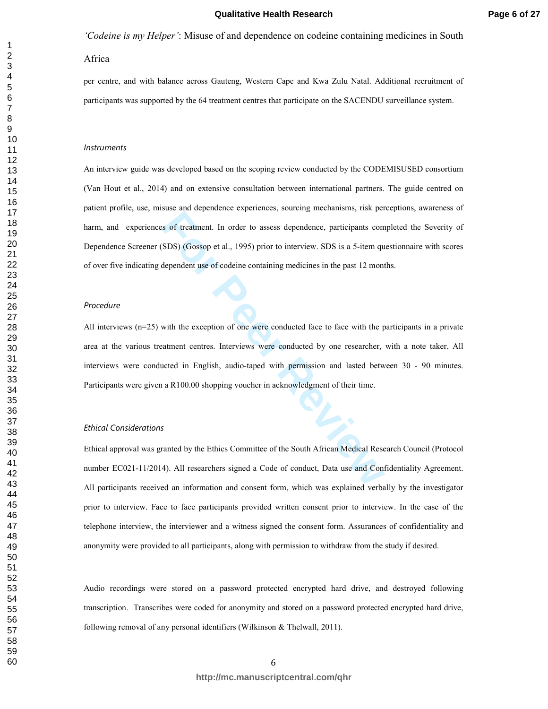#### Africa

per centre, and with balance across Gauteng, Western Cape and Kwa Zulu Natal. Additional recruitment of participants was supported by the 64 treatment centres that participate on the SACENDU surveillance system.

#### *Instruments*

An interview guide was developed based on the scoping review conducted by the CODEMISUSED consortium (Van Hout et al., 2014) and on extensive consultation between international partners. The guide centred on patient profile, use, misuse and dependence experiences, sourcing mechanisms, risk perceptions, awareness of harm, and experiences of treatment. In order to assess dependence, participants completed the Severity of Dependence Screener (SDS) (Gossop et al., 1995) prior to interview. SDS is a 5-item questionnaire with scores of over five indicating dependent use of codeine containing medicines in the past 12 months.

#### *Procedure*

**For Example 18 and Solution** SDS) (Gossop et al., 1995) prior to interview. SDS is a 5-item quelopendent use of codeine containing medicines in the past 12 mont<br>dependent use of codeine containing medicines in the past 12 All interviews (n=25) with the exception of one were conducted face to face with the participants in a private area at the various treatment centres. Interviews were conducted by one researcher, with a note taker. All interviews were conducted in English, audio-taped with permission and lasted between 30 - 90 minutes. Participants were given a R100.00 shopping voucher in acknowledgment of their time.

#### *Ethical Considerations*

Ethical approval was granted by the Ethics Committee of the South African Medical Research Council (Protocol number EC021-11/2014). All researchers signed a Code of conduct, Data use and Confidentiality Agreement. All participants received an information and consent form, which was explained verbally by the investigator prior to interview. Face to face participants provided written consent prior to interview. In the case of the telephone interview, the interviewer and a witness signed the consent form. Assurances of confidentiality and anonymity were provided to all participants, along with permission to withdraw from the study if desired.

Audio recordings were stored on a password protected encrypted hard drive, and destroyed following transcription. Transcribes were coded for anonymity and stored on a password protected encrypted hard drive, following removal of any personal identifiers (Wilkinson & Thelwall, 2011).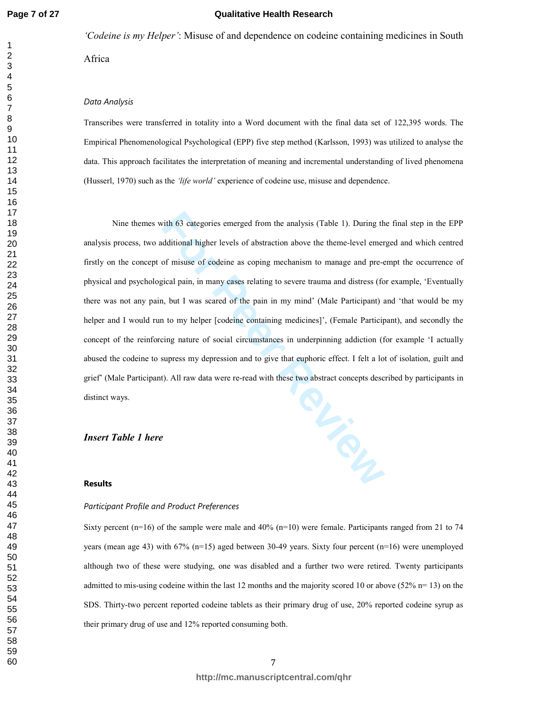*'Codeine is my Helper'*: Misuse of and dependence on codeine containing medicines in South Africa

#### *Data Analysis*

Transcribes were transferred in totality into a Word document with the final data set of 122,395 words. The Empirical Phenomenological Psychological (EPP) five step method (Karlsson, 1993) was utilized to analyse the data. This approach facilitates the interpretation of meaning and incremental understanding of lived phenomena (Husserl, 1970) such as the *'life world'* experience of codeine use, misuse and dependence.

Nine themes with 63 categories emerged from the analysis (Table 1). During the final step in the EPP analysis process, two additional higher levels of abstraction above the theme-level emerged and which centred firstly on the concept of misuse of codeine as coping mechanism to manage and pre-empt the occurrence of physical and psychological pain, in many cases relating to severe trauma and distress (for example, 'Eventually there was not any pain, but I was scared of the pain in my mind' (Male Participant) and 'that would be my helper and I would run to my helper [codeine containing medicines]', (Female Participant), and secondly the concept of the reinforcing nature of social circumstances in underpinning addiction (for example 'I actually abused the codeine to supress my depression and to give that euphoric effect. I felt a lot of isolation, guilt and grief' (Male Participant). All raw data were re-read with these two abstract concepts described by participants in distinct ways.

#### *Insert Table 1 here*

#### **Results**

#### *Participant Profile and Product Preferences*

Sixty percent (n=16) of the sample were male and  $40\%$  (n=10) were female. Participants ranged from 21 to 74 years (mean age 43) with 67% (n=15) aged between 30-49 years. Sixty four percent (n=16) were unemployed although two of these were studying, one was disabled and a further two were retired. Twenty participants admitted to mis-using codeine within the last 12 months and the majority scored 10 or above (52% n= 13) on the SDS. Thirty-two percent reported codeine tablets as their primary drug of use, 20% reported codeine syrup as their primary drug of use and 12% reported consuming both.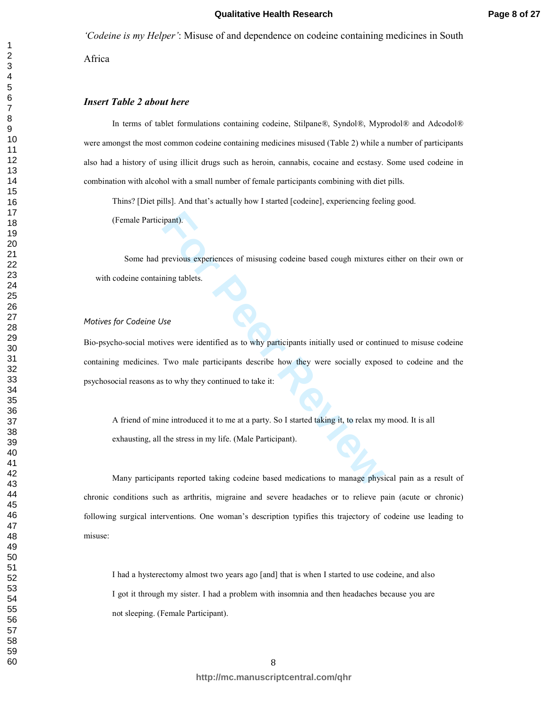# *Insert Table 2 about here*

In terms of tablet formulations containing codeine, Stilpane *®*, Syndol *®*, Myprodol *®* and Adcodol *®* were amongst the most common codeine containing medicines misused (Table 2) while a number of participants also had a history of using illicit drugs such as heroin, cannabis, cocaine and ecstasy. Some used codeine in combination with alcohol with a small number of female participants combining with diet pills.

Thins? [Diet pills]. And that's actually how I started [codeine], experiencing feeling good. (Female Participant).

Some had previous experiences of misusing codeine based cough mixtures either on their own or with codeine containing tablets.

#### *Motives for Codeine Use*

For Periodical Specifical Specifical Specifical Specifical Specifical Specifical Specifics Specifical Specifics Specifical Specifics Specifical Specifics Specifical Specific Two male participants describe how they were soc Bio-psycho-social motives were identified as to why participants initially used or continued to misuse codeine containing medicines. Two male participants describe how they were socially exposed to codeine and the psychosocial reasons as to why they continued to take it:

A friend of mine introduced it to me at a party. So I started taking it, to relax my mood. It is all exhausting, all the stress in my life. (Male Participant).

Many participants reported taking codeine based medications to manage physical pain as a result of chronic conditions such as arthritis, migraine and severe headaches or to relieve pain (acute or chronic) following surgical interventions. One woman's description typifies this trajectory of codeine use leading to misuse:

I had a hysterectomy almost two years ago [and] that is when I started to use codeine, and also I got it through my sister. I had a problem with insomnia and then headaches because you are not sleeping. (Female Participant).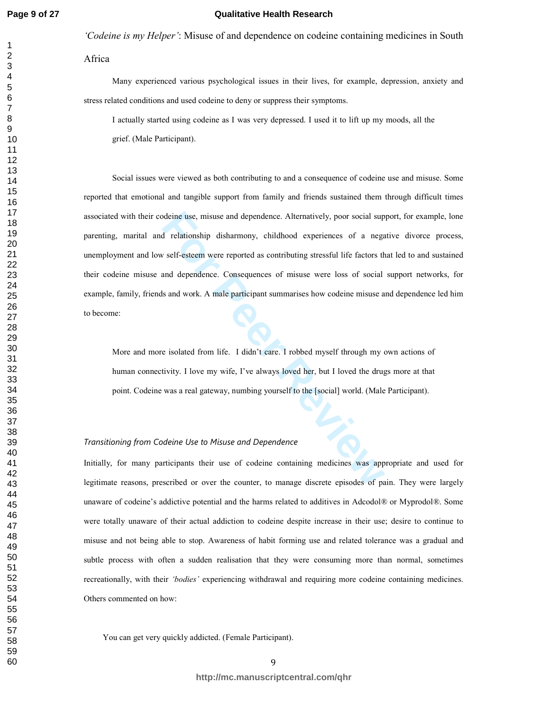*'Codeine is my Helper'*: Misuse of and dependence on codeine containing medicines in South

Africa

Many experienced various psychological issues in their lives, for example, depression, anxiety and stress related conditions and used codeine to deny or suppress their symptoms.

I actually started using codeine as I was very depressed. I used it to lift up my moods, all the grief. (Male Participant).

deline use, misuse and dependence. Alternatively, poor social sup<br>d relationship disharmony, childhood experiences of a nega<br>vself-esteem were reported as contributing stressful life factors th<br>and dependence. Consequences Social issues were viewed as both contributing to and a consequence of codeine use and misuse. Some reported that emotional and tangible support from family and friends sustained them through difficult times associated with their codeine use, misuse and dependence. Alternatively, poor social support, for example, lone parenting, marital and relationship disharmony, childhood experiences of a negative divorce process, unemployment and low self-esteem were reported as contributing stressful life factors that led to and sustained their codeine misuse and dependence. Consequences of misuse were loss of social support networks, for example, family, friends and work. A male participant summarises how codeine misuse and dependence led him to become:

More and more isolated from life. I didn't care. I robbed myself through my own actions of human connectivity. I love my wife, I've always loved her, but I loved the drugs more at that point. Codeine was a real gateway, numbing yourself to the [social] world. (Male Participant).

#### *Transitioning from Codeine Use to Misuse and Dependence*

Initially, for many participants their use of codeine containing medicines was appropriate and used for legitimate reasons, prescribed or over the counter, to manage discrete episodes of pain. They were largely unaware of codeine's addictive potential and the harms related to additives in Adcodol *®* or Myprodol *®*. Some were totally unaware of their actual addiction to codeine despite increase in their use; desire to continue to misuse and not being able to stop. Awareness of habit forming use and related tolerance was a gradual and subtle process with often a sudden realisation that they were consuming more than normal, sometimes recreationally, with their *'bodies'* experiencing withdrawal and requiring more codeine containing medicines. Others commented on how:

You can get very quickly addicted. (Female Participant).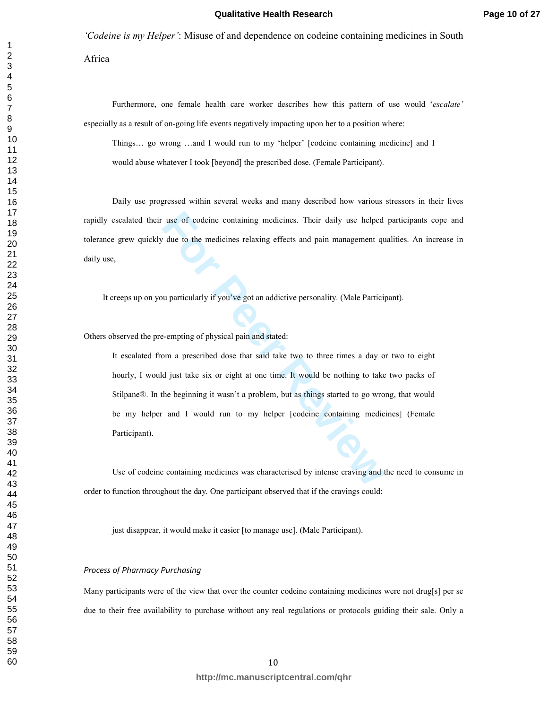Furthermore, one female health care worker describes how this pattern of use would '*escalate'* especially as a result of on-going life events negatively impacting upon her to a position where:

Things… go wrong …and I would run to my 'helper' [codeine containing medicine] and I would abuse whatever I took [beyond] the prescribed dose. (Female Participant).

Daily use progressed within several weeks and many described how various stressors in their lives rapidly escalated their use of codeine containing medicines. Their daily use helped participants cope and tolerance grew quickly due to the medicines relaxing effects and pain management qualities. An increase in daily use,

It creeps up on you particularly if you've got an addictive personality. (Male Participant).

Others observed the pre-empting of physical pain and stated:

use of codeine containing medicines. Their daily use helped<br>due to the medicines relaxing effects and pain management qu<br>pu particularly if you've got an addictive personality. (Male Particip<br>e-empting of physical pain and It escalated from a prescribed dose that said take two to three times a day or two to eight hourly, I would just take six or eight at one time. It would be nothing to take two packs of Stilpane®. In the beginning it wasn't a problem, but as things started to go wrong, that would be my helper and I would run to my helper [codeine containing medicines] (Female Participant).

Use of codeine containing medicines was characterised by intense craving and the need to consume in order to function throughout the day. One participant observed that if the cravings could:

just disappear, it would make it easier [to manage use]. (Male Participant).

#### *Process of Pharmacy Purchasing*

Many participants were of the view that over the counter codeine containing medicines were not drug[s] per se due to their free availability to purchase without any real regulations or protocols guiding their sale. Only a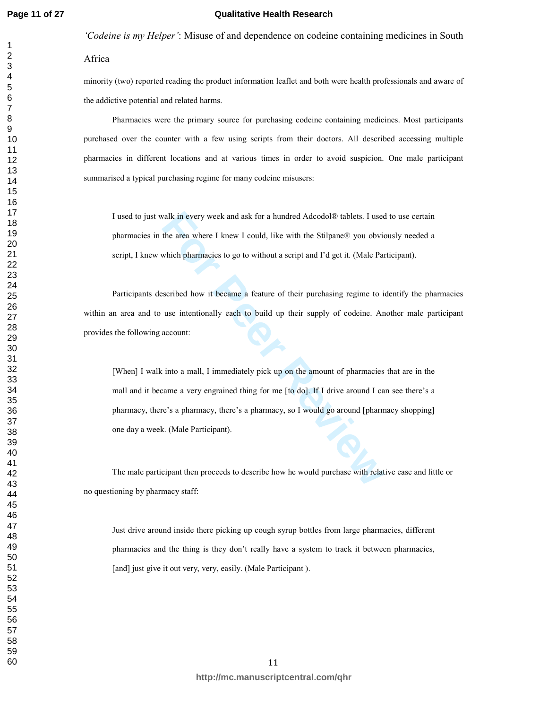*'Codeine is my Helper'*: Misuse of and dependence on codeine containing medicines in South

# Africa

minority (two) reported reading the product information leaflet and both were health professionals and aware of the addictive potential and related harms.

Pharmacies were the primary source for purchasing codeine containing medicines. Most participants purchased over the counter with a few using scripts from their doctors. All described accessing multiple pharmacies in different locations and at various times in order to avoid suspicion. One male participant summarised a typical purchasing regime for many codeine misusers:

I used to just walk in every week and ask for a hundred Adcodol® tablets. I used to use certain pharmacies in the area where I knew I could, like with the Stilpane® you obviously needed a script, I knew which pharmacies to go to without a script and I'd get it. (Male Participant).

Participants described how it became a feature of their purchasing regime to identify the pharmacies within an area and to use intentionally each to build up their supply of codeine. Another male participant provides the following account:

walk in every week and ask for a hundred Adcodol® tablets. I used<br>the area where I knew I could, like with the Stilpane® you obvide<br>which pharmacies to go to without a script and I'd get it. (Male Pat<br>scribed how it became [When] I walk into a mall, I immediately pick up on the amount of pharmacies that are in the mall and it became a very engrained thing for me [to do]. If I drive around I can see there's a pharmacy, there's a pharmacy, there's a pharmacy, so I would go around [pharmacy shopping] one day a week. (Male Participant).

The male participant then proceeds to describe how he would purchase with relative ease and little or no questioning by pharmacy staff:

Just drive around inside there picking up cough syrup bottles from large pharmacies, different pharmacies and the thing is they don't really have a system to track it between pharmacies, [and] just give it out very, very, easily. (Male Participant).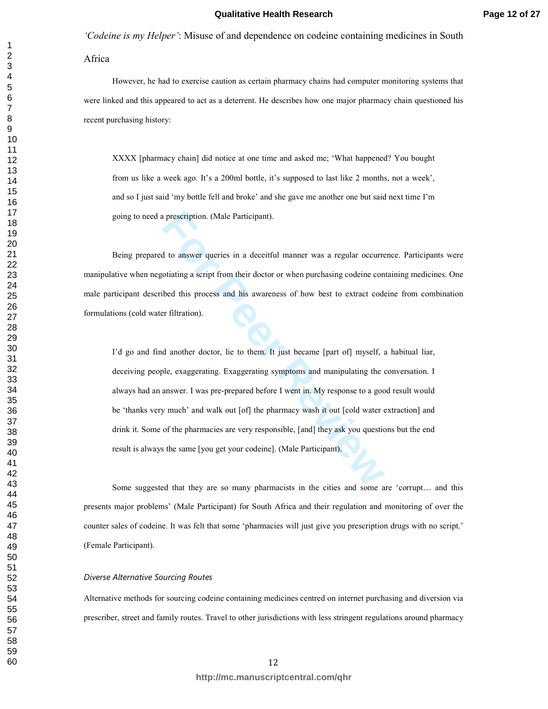Africa

However, he had to exercise caution as certain pharmacy chains had computer monitoring systems that were linked and this appeared to act as a deterrent. He describes how one major pharmacy chain questioned his recent purchasing history:

XXXX [pharmacy chain] did notice at one time and asked me; 'What happened? You bought from us like a week ago. It's a 200ml bottle, it's supposed to last like 2 months, not a week', and so I just said 'my bottle fell and broke' and she gave me another one but said next time I'm going to need a prescription. (Male Participant).

Being prepared to answer queries in a deceitful manner was a regular occurrence. Participants were manipulative when negotiating a script from their doctor or when purchasing codeine containing medicines. One male participant described this process and his awareness of how best to extract codeine from combination formulations (cold water filtration).

a prescription. (Male Participant).<br> **However queries in a deceitful manner was a regular occurre**<br>
otiating a script from their doctor or when purchasing codeine con<br>
bled this process and his awareness of how best to ext I'd go and find another doctor, lie to them. It just became [part of] myself, a habitual liar, deceiving people, exaggerating. Exaggerating symptoms and manipulating the conversation. I always had an answer. I was pre-prepared before I went in. My response to a good result would be 'thanks very much' and walk out [of] the pharmacy wash it out [cold water extraction] and drink it. Some of the pharmacies are very responsible, [and] they ask you questions but the end result is always the same [you get your codeine]. (Male Participant).

Some suggested that they are so many pharmacists in the cities and some are 'corrupt… and this presents major problems' (Male Participant) for South Africa and their regulation and monitoring of over the counter sales of codeine. It was felt that some 'pharmacies will just give you prescription drugs with no script.' (Female Participant).

#### *Diverse Alternative Sourcing Routes*

Alternative methods for sourcing codeine containing medicines centred on internet purchasing and diversion via prescriber, street and family routes. Travel to other jurisdictions with less stringent regulations around pharmacy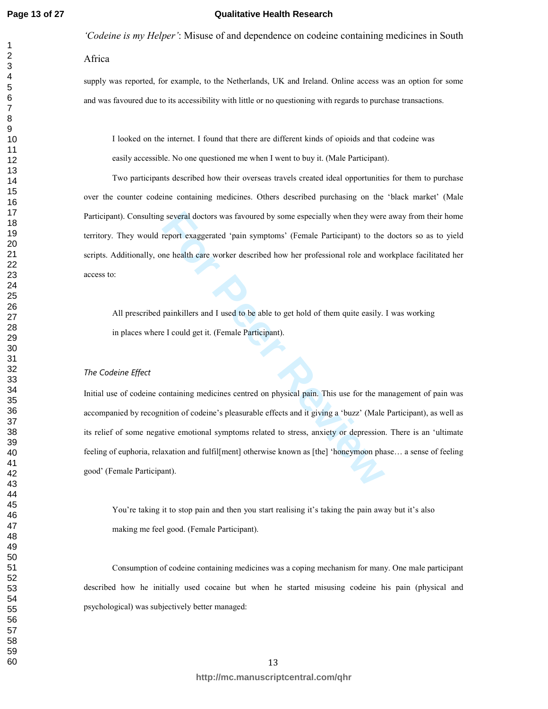*'Codeine is my Helper'*: Misuse of and dependence on codeine containing medicines in South

# Africa

supply was reported, for example, to the Netherlands, UK and Ireland. Online access was an option for some and was favoured due to its accessibility with little or no questioning with regards to purchase transactions.

I looked on the internet. I found that there are different kinds of opioids and that codeine was

easily accessible. No one questioned me when I went to buy it. (Male Participant).

Two participants described how their overseas travels created ideal opportunities for them to purchase over the counter codeine containing medicines. Others described purchasing on the 'black market' (Male Participant). Consulting several doctors was favoured by some especially when they were away from their home territory. They would report exaggerated 'pain symptoms' (Female Participant) to the doctors so as to yield scripts. Additionally, one health care worker described how her professional role and workplace facilitated her access to:

All prescribed painkillers and I used to be able to get hold of them quite easily. I was working in places where I could get it. (Female Participant).

#### *The Codeine Effect*

If several doctors was favoured by some especially when they were<br>report exaggerated 'pain symptoms' (Female Participant) to the<br>ne health care worker described how her professional role and w<br>painkillers and I used to be Initial use of codeine containing medicines centred on physical pain. This use for the management of pain was accompanied by recognition of codeine's pleasurable effects and it giving a 'buzz' (Male Participant), as well as its relief of some negative emotional symptoms related to stress, anxiety or depression. There is an 'ultimate feeling of euphoria, relaxation and fulfil[ment] otherwise known as [the] 'honeymoon phase… a sense of feeling good' (Female Participant).

You're taking it to stop pain and then you start realising it's taking the pain away but it's also making me feel good. (Female Participant).

Consumption of codeine containing medicines was a coping mechanism for many. One male participant described how he initially used cocaine but when he started misusing codeine his pain (physical and psychological) was subjectively better managed: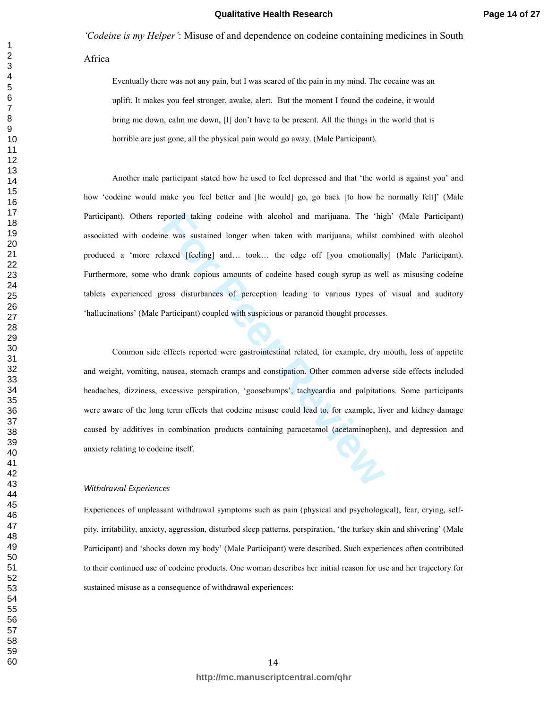Africa

Eventually there was not any pain, but I was scared of the pain in my mind. The cocaine was an uplift. It makes you feel stronger, awake, alert. But the moment I found the codeine, it would bring me down, calm me down, [I] don't have to be present. All the things in the world that is horrible are just gone, all the physical pain would go away. (Male Participant).

reported taking codeine with alcohol and marijuana. The 'highere was sustained longer when taken with marijuana, whilst c laxed [feeling] and... took... the edge off [you emotionall] to drank copious amounts of codeine bas Another male participant stated how he used to feel depressed and that 'the world is against you' and how 'codeine would make you feel better and [he would] go, go back [to how he normally felt]' (Male Participant). Others reported taking codeine with alcohol and marijuana. The 'high' (Male Participant) associated with codeine was sustained longer when taken with marijuana, whilst combined with alcohol produced a 'more relaxed [feeling] and… took… the edge off [you emotionally] (Male Participant). Furthermore, some who drank copious amounts of codeine based cough syrup as well as misusing codeine tablets experienced gross disturbances of perception leading to various types of visual and auditory 'hallucinations' (Male Participant) coupled with suspicious or paranoid thought processes.

Common side effects reported were gastrointestinal related, for example, dry mouth, loss of appetite and weight, vomiting, nausea, stomach cramps and constipation. Other common adverse side effects included headaches, dizziness, excessive perspiration, 'goosebumps', tachycardia and palpitations. Some participants were aware of the long term effects that codeine misuse could lead to, for example, liver and kidney damage caused by additives in combination products containing paracetamol (acetaminophen), and depression and anxiety relating to codeine itself.

#### *Withdrawal Experiences*

Experiences of unpleasant withdrawal symptoms such as pain (physical and psychological), fear, crying, selfpity, irritability, anxiety, aggression, disturbed sleep patterns, perspiration, 'the turkey skin and shivering' (Male Participant) and 'shocks down my body' (Male Participant) were described. Such experiences often contributed to their continued use of codeine products. One woman describes her initial reason for use and her trajectory for sustained misuse as a consequence of withdrawal experiences: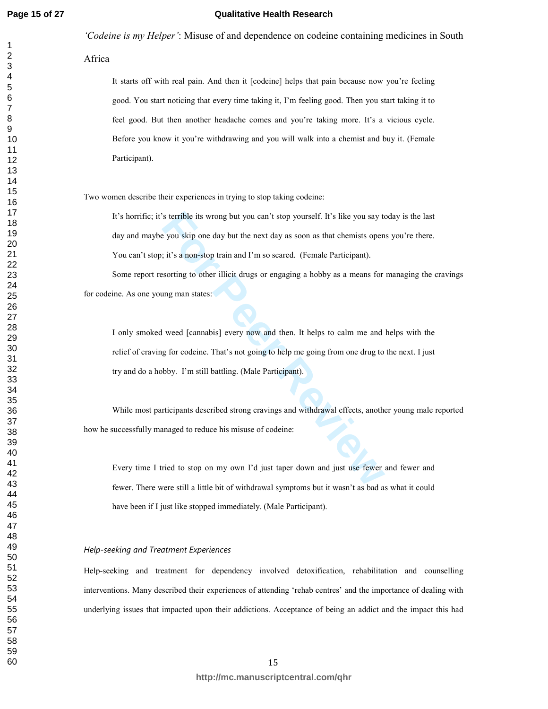$\mathbf{1}$ 

#### **Qualitative Health Research**

*'Codeine is my Helper'*: Misuse of and dependence on codeine containing medicines in South

# Africa

It starts off with real pain. And then it [codeine] helps that pain because now you're feeling good. You start noticing that every time taking it, I'm feeling good. Then you start taking it to feel good. But then another headache comes and you're taking more. It's a vicious cycle. Before you know it you're withdrawing and you will walk into a chemist and buy it. (Female Participant).

Two women describe their experiences in trying to stop taking codeine:

S terrible its wrong but you can't stop yourself. It's like you say to you skip one day but the next day as soon as that chemists open<br>
For Peer Reviewal in the next day as soon as that chemists open<br>
For Peer Reviewal in It's horrific; it's terrible its wrong but you can't stop yourself. It's like you say today is the last day and maybe you skip one day but the next day as soon as that chemists opens you're there. You can't stop; it's a non-stop train and I'm so scared. (Female Participant).

Some report resorting to other illicit drugs or engaging a hobby as a means for managing the cravings for codeine. As one young man states:

I only smoked weed [cannabis] every now and then. It helps to calm me and helps with the relief of craving for codeine. That's not going to help me going from one drug to the next. I just try and do a hobby. I'm still battling. (Male Participant).

While most participants described strong cravings and withdrawal effects, another young male reported how he successfully managed to reduce his misuse of codeine:

Every time I tried to stop on my own I'd just taper down and just use fewer and fewer and fewer. There were still a little bit of withdrawal symptoms but it wasn't as bad as what it could have been if I just like stopped immediately. (Male Participant).

#### *Help-seeking and Treatment Experiences*

Help-seeking and treatment for dependency involved detoxification, rehabilitation and counselling interventions. Many described their experiences of attending 'rehab centres' and the importance of dealing with underlying issues that impacted upon their addictions. Acceptance of being an addict and the impact this had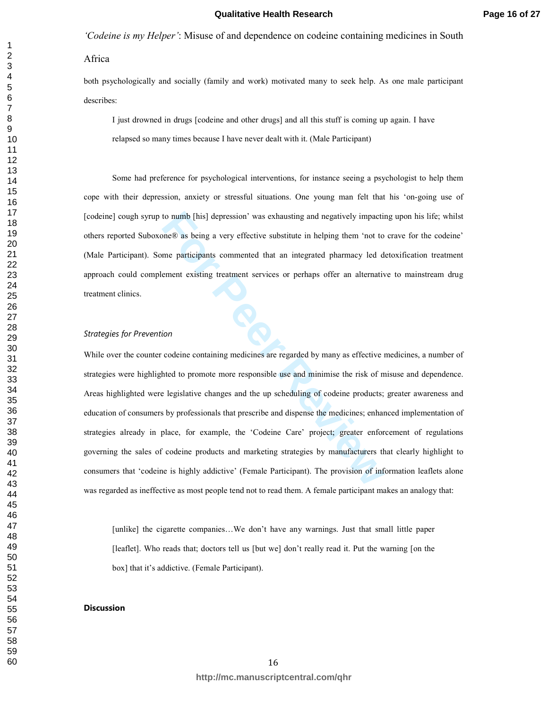# Africa

both psychologically and socially (family and work) motivated many to seek help. As one male participant describes:

I just drowned in drugs [codeine and other drugs] and all this stuff is coming up again. I have relapsed so many times because I have never dealt with it. (Male Participant)

Some had preference for psychological interventions, for instance seeing a psychologist to help them cope with their depression, anxiety or stressful situations. One young man felt that his 'on-going use of [codeine] cough syrup to numb [his] depression' was exhausting and negatively impacting upon his life; whilst others reported Suboxone® as being a very effective substitute in helping them 'not to crave for the codeine' (Male Participant). Some participants commented that an integrated pharmacy led detoxification treatment approach could complement existing treatment services or perhaps offer an alternative to mainstream drug treatment clinics.

#### *Strategies for Prevention*

to numb [his] depression' was exhausting and negatively impactione<br>
The as being a very effective substitute in helping them 'not to<br>
me participants commented that an integrated pharmacy led do<br>
ement existing treatment s While over the counter codeine containing medicines are regarded by many as effective medicines, a number of strategies were highlighted to promote more responsible use and minimise the risk of misuse and dependence. Areas highlighted were legislative changes and the up scheduling of codeine products; greater awareness and education of consumers by professionals that prescribe and dispense the medicines; enhanced implementation of strategies already in place, for example, the 'Codeine Care' project; greater enforcement of regulations governing the sales of codeine products and marketing strategies by manufacturers that clearly highlight to consumers that 'codeine is highly addictive' (Female Participant). The provision of information leaflets alone was regarded as ineffective as most people tend not to read them. A female participant makes an analogy that:

[unlike] the cigarette companies…We don't have any warnings. Just that small little paper [leaflet]. Who reads that; doctors tell us [but we] don't really read it. Put the warning [on the box] that it's addictive. (Female Participant).

#### **Discussion**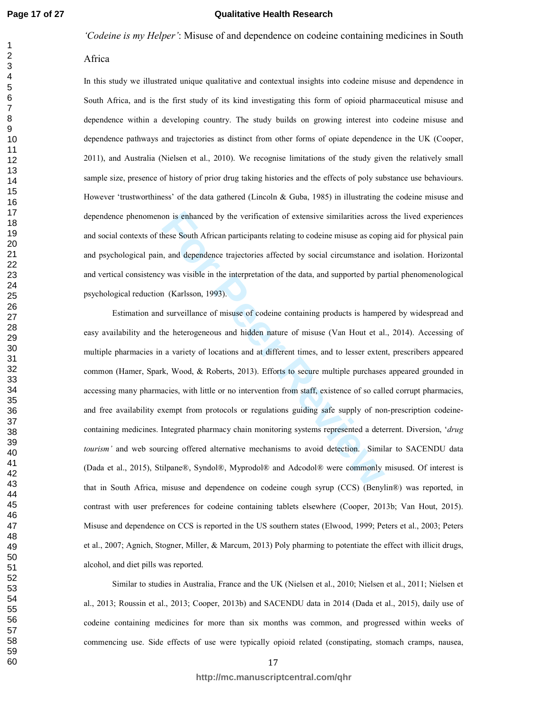$\mathbf{1}$  $\overline{2}$ 

#### **Qualitative Health Research**

*'Codeine is my Helper'*: Misuse of and dependence on codeine containing medicines in South

# Africa

In this study we illustrated unique qualitative and contextual insights into codeine misuse and dependence in South Africa, and is the first study of its kind investigating this form of opioid pharmaceutical misuse and dependence within a developing country. The study builds on growing interest into codeine misuse and dependence pathways and trajectories as distinct from other forms of opiate dependence in the UK (Cooper, 2011), and Australia (Nielsen et al., 2010). We recognise limitations of the study given the relatively small sample size, presence of history of prior drug taking histories and the effects of poly substance use behaviours. However 'trustworthiness' of the data gathered (Lincoln & Guba, 1985) in illustrating the codeine misuse and dependence phenomenon is enhanced by the verification of extensive similarities across the lived experiences and social contexts of these South African participants relating to codeine misuse as coping aid for physical pain and psychological pain, and dependence trajectories affected by social circumstance and isolation. Horizontal and vertical consistency was visible in the interpretation of the data, and supported by partial phenomenological psychological reduction (Karlsson, 1993).

on is enhanced by the verification of extensive similarities across<br>hese South African participants relating to codeine misuse as copin<br>a, and dependence trajectories affected by social circumstance an<br>y was visible in the Estimation and surveillance of misuse of codeine containing products is hampered by widespread and easy availability and the heterogeneous and hidden nature of misuse (Van Hout et al., 2014). Accessing of multiple pharmacies in a variety of locations and at different times, and to lesser extent, prescribers appeared common (Hamer, Spark, Wood, & Roberts, 2013). Efforts to secure multiple purchases appeared grounded in accessing many pharmacies, with little or no intervention from staff, existence of so called corrupt pharmacies, and free availability exempt from protocols or regulations guiding safe supply of non-prescription codeinecontaining medicines. Integrated pharmacy chain monitoring systems represented a deterrent. Diversion, '*drug tourism'* and web sourcing offered alternative mechanisms to avoid detection. Similar to SACENDU data (Dada et al., 2015), Stilpane®, Syndol®, Myprodol® and Adcodol *®* were commonly misused. Of interest is that in South Africa, misuse and dependence on codeine cough syrup (CCS) (Benylin®) was reported, in contrast with user preferences for codeine containing tablets elsewhere (Cooper, 2013b; Van Hout, 2015). Misuse and dependence on CCS is reported in the US southern states (Elwood, 1999; Peters et al., 2003; Peters et al., 2007; Agnich, Stogner, Miller, & Marcum, 2013) Poly pharming to potentiate the effect with illicit drugs, alcohol, and diet pills was reported.

Similar to studies in Australia, France and the UK (Nielsen et al., 2010; Nielsen et al., 2011; Nielsen et al., 2013; Roussin et al., 2013; Cooper, 2013b) and SACENDU data in 2014 (Dada et al., 2015), daily use of codeine containing medicines for more than six months was common, and progressed within weeks of commencing use. Side effects of use were typically opioid related (constipating, stomach cramps, nausea,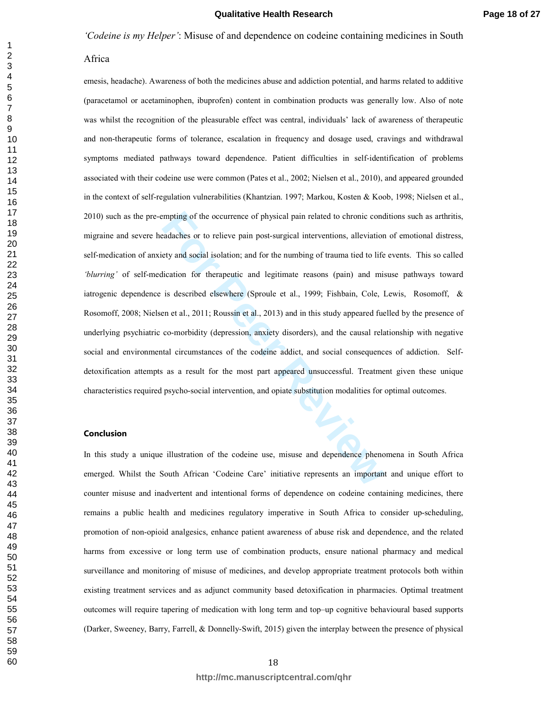# Africa

mpting of the occurrence of physical pain related to chronic cond<br>eadaches or to relieve pain post-surgical interventions, alleviation<br>ety and social isolation; and for the numbing of trauma tied to life<br>lication for thera emesis, headache). Awareness of both the medicines abuse and addiction potential, and harms related to additive (paracetamol or acetaminophen, ibuprofen) content in combination products was generally low. Also of note was whilst the recognition of the pleasurable effect was central, individuals' lack of awareness of therapeutic and non-therapeutic forms of tolerance, escalation in frequency and dosage used, cravings and withdrawal symptoms mediated pathways toward dependence. Patient difficulties in self-identification of problems associated with their codeine use were common (Pates et al., 2002; Nielsen et al., 2010), and appeared grounded in the context of self-regulation vulnerabilities (Khantzian. 1997; Markou, Kosten & Koob, 1998; Nielsen et al., 2010) such as the pre-empting of the occurrence of physical pain related to chronic conditions such as arthritis, migraine and severe headaches or to relieve pain post-surgical interventions, alleviation of emotional distress, self-medication of anxiety and social isolation; and for the numbing of trauma tied to life events. This so called *'blurring'* of self-medication for therapeutic and legitimate reasons (pain) and misuse pathways toward iatrogenic dependence is described elsewhere (Sproule et al., 1999; Fishbain, Cole, Lewis, Rosomoff, & Rosomoff, 2008; Nielsen et al., 2011; Roussin et al., 2013) and in this study appeared fuelled by the presence of underlying psychiatric co-morbidity (depression, anxiety disorders), and the causal relationship with negative social and environmental circumstances of the codeine addict, and social consequences of addiction. Selfdetoxification attempts as a result for the most part appeared unsuccessful. Treatment given these unique characteristics required psycho-social intervention, and opiate substitution modalities for optimal outcomes.

#### **Conclusion**

In this study a unique illustration of the codeine use, misuse and dependence phenomena in South Africa emerged. Whilst the South African 'Codeine Care' initiative represents an important and unique effort to counter misuse and inadvertent and intentional forms of dependence on codeine containing medicines, there remains a public health and medicines regulatory imperative in South Africa to consider up-scheduling, promotion of non-opioid analgesics, enhance patient awareness of abuse risk and dependence, and the related harms from excessive or long term use of combination products, ensure national pharmacy and medical surveillance and monitoring of misuse of medicines, and develop appropriate treatment protocols both within existing treatment services and as adjunct community based detoxification in pharmacies. Optimal treatment outcomes will require tapering of medication with long term and top–up cognitive behavioural based supports (Darker, Sweeney, Barry, Farrell, & Donnelly-Swift, 2015) given the interplay between the presence of physical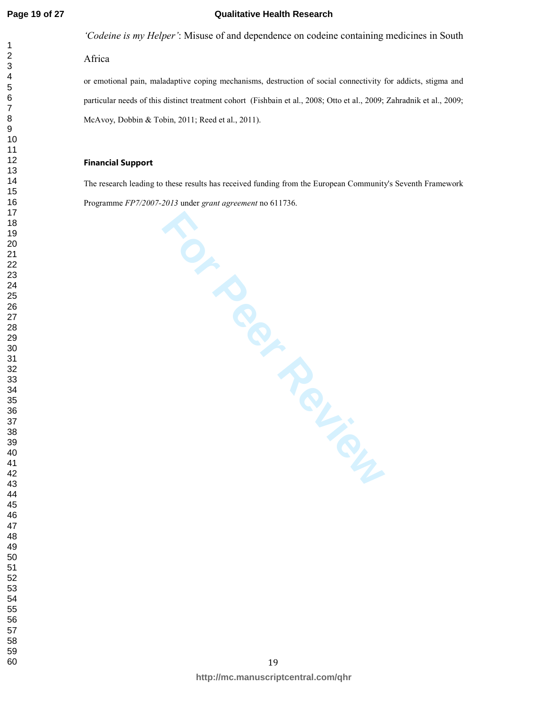*'Codeine is my Helper'*: Misuse of and dependence on codeine containing medicines in South

# Africa

or emotional pain, maladaptive coping mechanisms, destruction of social connectivity for addicts, stigma and particular needs of this distinct treatment cohort (Fishbain et al., 2008; Otto et al., 2009; Zahradnik et al., 2009; McAvoy, Dobbin & Tobin, 2011; Reed et al., 2011).

#### **Financial Support**

The research leading to these results has received funding from the European Community's Seventh Framework Programme *FP7/2007-2013* under *grant agreement* no 611736.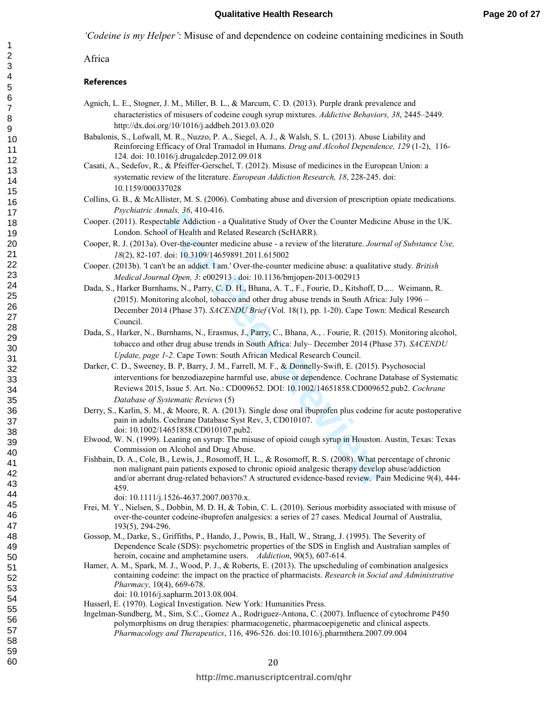*'Codeine is my Helper'*: Misuse of and dependence on codeine containing medicines in South

#### Africa

#### **References**

- Agnich, L. E., Stogner, J. M., Miller, B. L., & Marcum, C. D. (2013). Purple drank prevalence and characteristics of misusers of codeine cough syrup mixtures. *Addictive Behaviors, 38*, 2445–2449. http://dx.doi.org/10/1016/j.addbeh.2013.03.020
- Babalonis, S., Lofwall, M. R., Nuzzo, P. A., Siegel, A. J., & Walsh, S. L. (2013). Abuse Liability and Reinforcing Efficacy of Oral Tramadol in Humans. *Drug and Alcohol Dependence, 129* (1-2), 116- 124. doi: 10.1016/j.drugalcdep.2012.09.018
- Casati, A., Sedefov, R., & Pfeiffer-Gerschel, T. (2012). Misuse of medicines in the European Union: a systematic review of the literature. *European Addiction Research, 18*, 228-245. doi: 10.1159/000337028
- Collins, G. B., & McAllister, M. S. (2006). Combating abuse and diversion of prescription opiate medications. *Psychiatric Annals, 36*, 410-416.
- Cooper. (2011). Respectable Addiction a Qualitative Study of Over the Counter Medicine Abuse in the UK. London. School of Health and Related Research (ScHARR).
- Cooper, R. J. (2013a). Over-the-counter medicine abuse a review of the literature. *Journal of Substance Use, 18*(2), 82-107. doi: 10.3109/14659891.2011.615002
- Cooper. (2013b). 'I can't be an addict. I am.' Over-the-counter medicine abuse: a qualitative study. *British Medical Journal Open, 3*: e002913 . doi: 10.1136/bmjopen-2013-002913
- mais, 30, 4-104-10.<br> **Ealisherial Addiction a Qualitative Study of Over the Counter Medicin<br>
of Health and Related Research (ScHARR).**<br>
Over-the-counter medicine abuse a review of the literature. *Journ*<br>
doi: 10.3109/ Dada, S., Harker Burnhams, N., Parry, C. D. H., Bhana, A. T., F., Fourie, D., Kitshoff, D.,... Weimann, R. (2015). Monitoring alcohol, tobacco and other drug abuse trends in South Africa: July 1996 – December 2014 (Phase 37). *SACENDU Brief* (Vol. 18(1), pp. 1-20). Cape Town: Medical Research Council.
- Dada, S., Harker, N., Burnhams, N., Erasmus, J., Parry, C., Bhana, A., . Fourie, R. (2015). Monitoring alcohol, tobacco and other drug abuse trends in South Africa: July– December 2014 (Phase 37). *SACENDU Update, page 1-2.* Cape Town: South African Medical Research Council.
- Darker, C. D., Sweeney, B. P, Barry, J. M., Farrell, M. F., & Donnelly-Swift, E. (2015). Psychosocial interventions for benzodiazepine harmful use, abuse or dependence. Cochrane Database of Systematic Reviews 2015, Issue 5. Art. No.: CD009652. DOI: 10.1002/14651858.CD009652.pub2. *Cochrane Database of Systematic Reviews* (5)
- Derry, S., Karlin, S. M., & Moore, R. A. (2013). Single dose oral ibuprofen plus codeine for acute postoperative pain in adults. Cochrane Database Syst Rev, 3, CD010107. doi: 10.1002/14651858.CD010107.pub2.
- Elwood, W. N. (1999). Leaning on syrup: The misuse of opioid cough syrup in Houston. Austin, Texas: Texas Commission on Alcohol and Drug Abuse.
- Fishbain, D. A., Cole, B., Lewis, J., Rosomoff, H. L., & Rosomoff, R. S. (2008). What percentage of chronic non malignant pain patients exposed to chronic opioid analgesic therapy develop abuse/addiction and/or aberrant drug-related behaviors? A structured evidence-based review. Pain Medicine 9(4), 444- 459.
	- doi: 10.1111/j.1526-4637.2007.00370.x.
- Frei, M. Y., Nielsen, S., Dobbin, M. D. H, & Tobin, C. L. (2010). Serious morbidity associated with misuse of over-the-counter codeine-ibuprofen analgesics: a series of 27 cases. Medical Journal of Australia, 193(5), 294-296.
- Gossop, M., Darke, S., Griffiths, P., Hando, J., Powis, B., Hall, W., Strang, J. (1995). The Severity of Dependence Scale (SDS): psychometric properties of the SDS in English and Australian samples of heroin, cocaine and amphetamine users. *Addiction*, 90(5), 607-614.
- Hamer, A. M., Spark, M. J., Wood, P. J., & Roberts, E. (2013). The upscheduling of combination analgesics containing codeine: the impact on the practice of pharmacists. *Research in Social and Administrative Pharmacy,* 10(4), 669-678.
	- doi: 10.1016/j.sapharm.2013.08.004.
- Husserl, E. (1970). Logical Investigation. New York: Humanities Press.
- Ingelman-Sundberg, M., Sim, S.C., Gomez A., Rodriguez-Antona, C. (2007). Influence of cytochrome P450 polymorphisms on drug therapies: pharmacogenetic, pharmacoepigenetic and clinical aspects. *Pharmacology and Therapeutics*, 116, 496-526. doi:10.1016/j.pharmthera.2007.09.004

123456789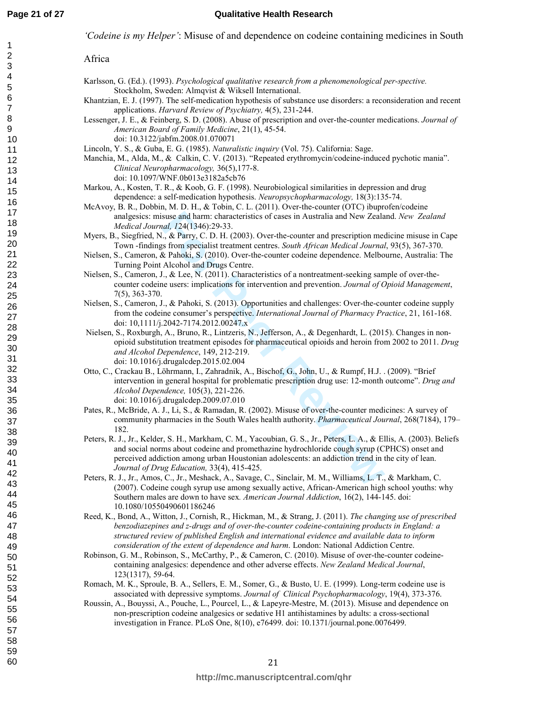*'Codeine is my Helper'*: Misuse of and dependence on codeine containing medicines in South

#### $\mathbf{1}$ 123456789  $\overline{2}$ 3 4 5 6 7 8 9 10 11 12 13 14 15 16 17 18 19 20 21 22 23 24 25 26 27 28 29 30 31 32 33 34 35 36 37 38 39 40 41 42 43 44 45 46 47 48 49 50 51 52 53 54 55 56 57 58

59 60 Africa

- Karlsson, G. (Ed.). (1993). *Psychological qualitative research from a phenomenological per-spective.* Stockholm, Sweden: Almqvist & Wiksell International.
- Khantzian, E. J. (1997). The self-medication hypothesis of substance use disorders: a reconsideration and recent applications. *Harvard Review of Psychiatry,* 4(5), 231-244.
- Lessenger, J. E., & Feinberg, S. D. (2008). Abuse of prescription and over-the-counter medications. *Journal of American Board of Family Medicine*, 21(1), 45-54. doi: 10.3122/jabfm.2008.01.070071
- Lincoln, Y. S., & Guba, E. G. (1985). *Naturalistic inquiry* (Vol. 75). California: Sage.
- Manchia, M., Alda, M., & Calkin, C. V. (2013). "Repeated erythromycin/codeine-induced pychotic mania". *Clinical Neuropharmacology,* 36(5),177-8.

doi: 10.1097/WNF.0b013e3182a5cb76

- Markou, A., Kosten, T. R., & Koob, G. F. (1998). Neurobiological similarities in depression and drug dependence: a self-medication hypothesis. *Neuropsychopharmacology,* 18(3):135-74.
- McAvoy, B. R., Dobbin, M. D. H., & Tobin, C. L. (2011). Over-the-counter (OTC) ibuprofen/codeine analgesics: misuse and harm: characteristics of cases in Australia and New Zealand. *New Zealand Medical Journal, 1*24(1346):29-33.
- Myers, B., Siegfried, N., & Parry, C. D. H. (2003). Over-the-counter and prescription medicine misuse in Cape Town -findings from specialist treatment centres. *South African Medical Journal*, 93(5), 367-370.
- Nielsen, S., Cameron, & Pahoki, S. (2010). Over-the-counter codeine dependence. Melbourne, Australia: The Turning Point Alcohol and Drugs Centre.
- Nielsen, S., Cameron, J., & Lee, N. (2011). Characteristics of a nontreatment-seeking sample of over-thecounter codeine users: implications for intervention and prevention. *Journal of Opioid Management*, 7(5), 363-370.
- Nielsen, S., Cameron, J., & Pahoki, S. (2013). Opportunities and challenges: Over-the-counter codeine supply from the codeine consumer's perspective. *International Journal of Pharmacy Practice*, 21, 161-168. doi: 10,1111/j.2042-7174.2012.00247.x
- Nielsen, S., Roxburgh, A., Bruno, R., Lintzeris, N., Jefferson, A., & Degenhardt, L. (2015). Changes in nonopioid substitution treatment episodes for pharmaceutical opioids and heroin from 2002 to 2011. *Drug and Alcohol Dependence*, 149, 212-219. doi: 10.1016/j.drugalcdep.2015.02.004
- Otto, C., Crackau B., Lӧhrmann, I., Zahradnik, A., Bischof, G., John, U., & Rumpf, H.J. . (2009). "Brief intervention in general hospital for problematic prescription drug use: 12-month outcome". *Drug and Alcohol Dependence,* 105(3), 221-226. doi: 10.1016/j.drugalcdep.2009.07.010
- Pates, R., McBride, A. J., Li, S., & Ramadan, R. (2002). Misuse of over-the-counter medicines: A survey of community pharmacies in the South Wales health authority. *Pharmaceutical Journal*, 268(7184), 179– 182.
- suse and harm: characteristics of cases in Australia and New Zeala<br> *Fol., &* Parry, C. D. H. (2003). Over-the-counter and prescription measurement and prescription measurement system specialist treatment centres. *South A* Peters, R. J., Jr., Kelder, S. H., Markham, C. M., Yacoubian, G. S., Jr., Peters, L. A., & Ellis, A. (2003). Beliefs and social norms about codeine and promethazine hydrochloride cough syrup (CPHCS) onset and perceived addiction among urban Houstonian adolescents: an addiction trend in the city of lean. *Journal of Drug Education,* 33(4), 415-425.
- Peters, R. J., Jr., Amos, C., Jr., Meshack, A., Savage, C., Sinclair, M. M., Williams, L. T., & Markham, C. (2007). Codeine cough syrup use among sexually active, African-American high school youths: why Southern males are down to have sex*. American Journal Addiction*, 16(2), 144-145. doi: 10.1080/10550490601186246
- Reed, K., Bond, A., Witton, J., Cornish, R., Hickman, M., & Strang, J. (2011). *The changing use of prescribed benzodiazepines and z-drugs and of over-the-counter codeine-containing products in England: a structured review of published English and international evidence and available data to inform consideration of the extent of dependence and harm*. London: National Addiction Centre.
- Robinson, G. M., Robinson, S., McCarthy, P., & Cameron, C. (2010). Misuse of over-the-counter codeinecontaining analgesics: dependence and other adverse effects. *New Zealand Medical Journal*, 123(1317), 59-64.
- Romach, M. K., Sproule, B. A., Sellers, E. M., Somer, G., & Busto, U. E. (1999). Long-term codeine use is associated with depressive symptoms. *Journal of Clinical Psychopharmacology*, 19(4), 373-376.
- Roussin, A., Bouyssi, A., Pouche, L., Pourcel, L., & Lapeyre-Mestre, M. (2013). Misuse and dependence on non-prescription codeine analgesics or sedative H1 antihistamines by adults: a cross-sectional investigation in France. PLoS One, 8(10), e76499. doi: 10.1371/journal.pone.0076499.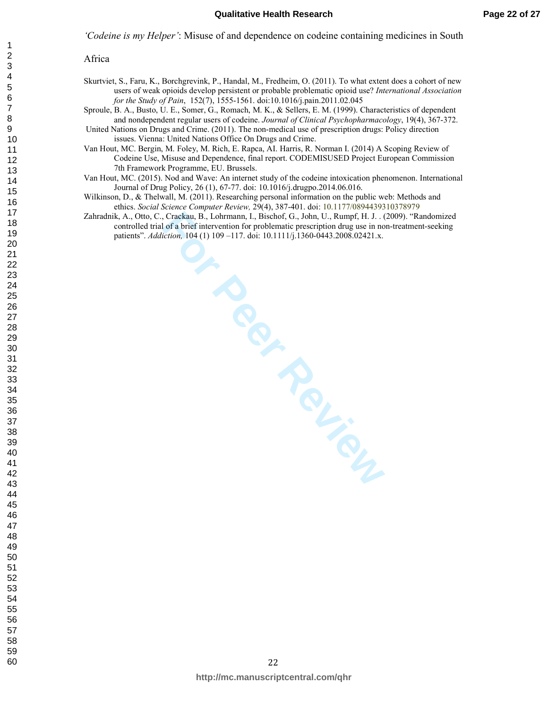*'Codeine is my Helper'*: Misuse of and dependence on codeine containing medicines in South

Africa

- Skurtviet, S., Faru, K., Borchgrevink, P., Handal, M., Fredheim, O. (2011). To what extent does a cohort of new users of weak opioids develop persistent or probable problematic opioid use? *International Association for the Study of Pain*, 152(7), 1555-1561. doi:10.1016/j.pain.2011.02.045
- Sproule, B. A., Busto, U. E., Somer, G., Romach, M. K., & Sellers, E. M. (1999). Characteristics of dependent and nondependent regular users of codeine. *Journal of Clinical Psychopharmacology*, 19(4), 367-372.
- United Nations on Drugs and Crime. (2011). The non-medical use of prescription drugs: Policy direction issues. Vienna: United Nations Office On Drugs and Crime.
- Van Hout, MC. Bergin, M. Foley, M. Rich, E. Rapca, AI. Harris, R. Norman I. (2014) A Scoping Review of Codeine Use, Misuse and Dependence, final report. CODEMISUSED Project European Commission 7th Framework Programme, EU. Brussels.
- Van Hout, MC. (2015). Nod and Wave: An internet study of the codeine intoxication phenomenon. International Journal of Drug Policy, 26 (1), 67-77. doi: 10.1016/j.drugpo.2014.06.016.
- Wilkinson, D., & Thelwall, M. (2011). Researching personal information on the public web: Methods and ethics. *Social Science Computer Review,* 29(4), 387-401. doi: 10.1177/0894439310378979
- From 104(1) w. Zahradnik, A., Otto, C., Crackau, B., Lohrmann, I., Bischof, G., John, U., Rumpf, H. J. . (2009). "Randomized controlled trial of a brief intervention for problematic prescription drug use in non-treatment-seeking patients". *Addiction,* 104 (1) 109 –117. doi: 10.1111/j.1360-0443.2008.02421.x.

 **http://mc.manuscriptcentral.com/qhr**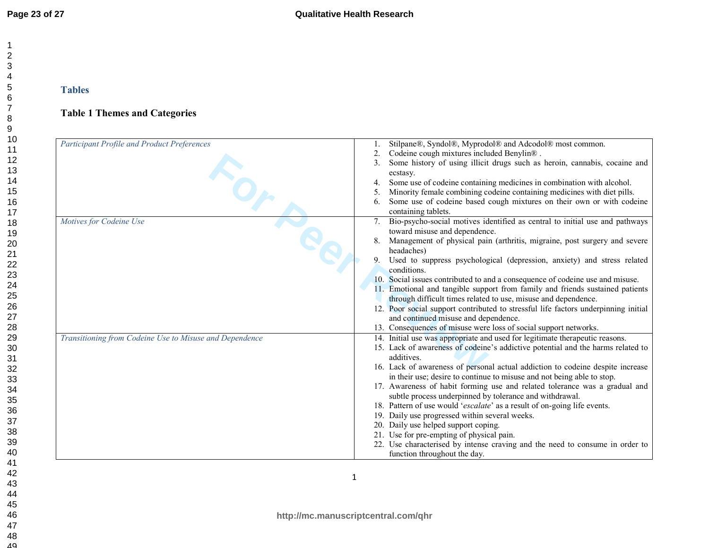12

# **Tables**

# **Table 1 Themes and Categories**

| <b>Participant Profile and Product Preferences</b>      | Stilpane®, Syndol®, Myprodol® and Adcodol® most common.<br>Codeine cough mixtures included Benylin®.                       |
|---------------------------------------------------------|----------------------------------------------------------------------------------------------------------------------------|
|                                                         | Some history of using illicit drugs such as heroin, cannabis, cocaine and<br>ecstasy.                                      |
|                                                         | Some use of codeine containing medicines in combination with alcohol.                                                      |
|                                                         | Minority female combining codeine containing medicines with diet pills.                                                    |
|                                                         | Some use of codeine based cough mixtures on their own or with codeine                                                      |
|                                                         | containing tablets.                                                                                                        |
| Motives for Codeine Use                                 | Bio-psycho-social motives identified as central to initial use and pathways<br>toward misuse and dependence.               |
|                                                         | Management of physical pain (arthritis, migraine, post surgery and severe<br>headaches)                                    |
|                                                         | Used to suppress psychological (depression, anxiety) and stress related                                                    |
|                                                         | conditions.                                                                                                                |
|                                                         | 10. Social issues contributed to and a consequence of codeine use and misuse.                                              |
|                                                         | 11. Emotional and tangible support from family and friends sustained patients                                              |
|                                                         | through difficult times related to use, misuse and dependence.                                                             |
|                                                         | 12. Poor social support contributed to stressful life factors underpinning initial<br>and continued misuse and dependence. |
|                                                         | 13. Consequences of misuse were loss of social support networks.                                                           |
| Transitioning from Codeine Use to Misuse and Dependence | 14. Initial use was appropriate and used for legitimate therapeutic reasons.                                               |
|                                                         | 15. Lack of awareness of codeine's addictive potential and the harms related to<br>additives.                              |
|                                                         | 16. Lack of awareness of personal actual addiction to codeine despite increase                                             |
|                                                         | in their use; desire to continue to misuse and not being able to stop.                                                     |
|                                                         | 17. Awareness of habit forming use and related tolerance was a gradual and                                                 |
|                                                         | subtle process underpinned by tolerance and withdrawal.                                                                    |
|                                                         | 18. Pattern of use would 'escalate' as a result of on-going life events.                                                   |
|                                                         | 19. Daily use progressed within several weeks.                                                                             |
|                                                         | 20. Daily use helped support coping.                                                                                       |
|                                                         | 21. Use for pre-empting of physical pain.                                                                                  |
|                                                         | 22. Use characterised by intense craving and the need to consume in order to<br>function throughout the day.               |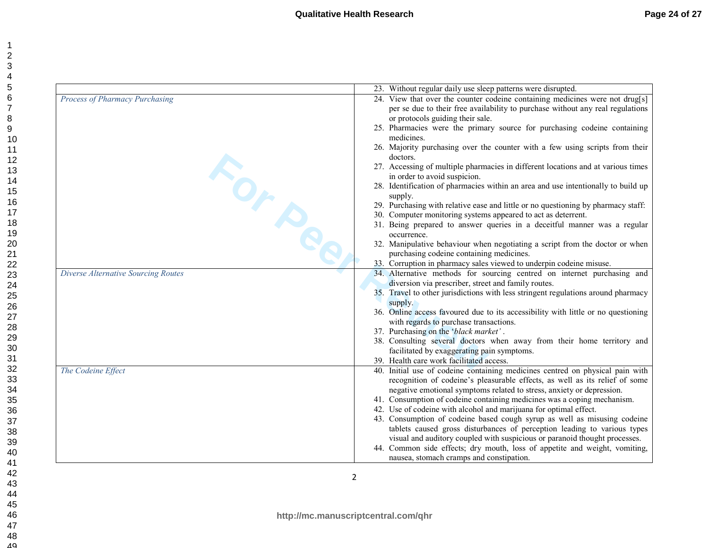|                                     | 23. Without regular daily use sleep patterns were disrupted.                      |
|-------------------------------------|-----------------------------------------------------------------------------------|
| Process of Pharmacy Purchasing      | 24. View that over the counter codeine containing medicines were not drug[s]      |
|                                     | per se due to their free availability to purchase without any real regulations    |
|                                     | or protocols guiding their sale.                                                  |
|                                     | 25. Pharmacies were the primary source for purchasing codeine containing          |
|                                     | medicines.                                                                        |
|                                     | 26. Majority purchasing over the counter with a few using scripts from their      |
| rorp                                | doctors.                                                                          |
|                                     | 27. Accessing of multiple pharmacies in different locations and at various times  |
|                                     | in order to avoid suspicion.                                                      |
|                                     | 28. Identification of pharmacies within an area and use intentionally to build up |
|                                     | supply.                                                                           |
|                                     | 29. Purchasing with relative ease and little or no questioning by pharmacy staff: |
|                                     | 30. Computer monitoring systems appeared to act as deterrent.                     |
|                                     | 31. Being prepared to answer queries in a deceitful manner was a regular          |
|                                     | occurrence.                                                                       |
|                                     | 32. Manipulative behaviour when negotiating a script from the doctor or when      |
|                                     | purchasing codeine containing medicines.                                          |
|                                     | 33. Corruption in pharmacy sales viewed to underpin codeine misuse.               |
| Diverse Alternative Sourcing Routes | 34. Alternative methods for sourcing centred on internet purchasing and           |
|                                     | diversion via prescriber, street and family routes.                               |
|                                     | 35. Travel to other jurisdictions with less stringent regulations around pharmacy |
|                                     | supply.                                                                           |
|                                     | 36. Online access favoured due to its accessibility with little or no questioning |
|                                     | with regards to purchase transactions.                                            |
|                                     | 37. Purchasing on the 'black market'.                                             |
|                                     | 38. Consulting several doctors when away from their home territory and            |
|                                     | facilitated by exaggerating pain symptoms.                                        |
|                                     | 39. Health care work facilitated access.                                          |
| The Codeine Effect                  | 40. Initial use of codeine containing medicines centred on physical pain with     |
|                                     | recognition of codeine's pleasurable effects, as well as its relief of some       |
|                                     | negative emotional symptoms related to stress, anxiety or depression.             |
|                                     | 41. Consumption of codeine containing medicines was a coping mechanism.           |
|                                     | 42. Use of codeine with alcohol and marijuana for optimal effect.                 |
|                                     | 43. Consumption of codeine based cough syrup as well as misusing codeine          |
|                                     |                                                                                   |
|                                     | tablets caused gross disturbances of perception leading to various types          |
|                                     | visual and auditory coupled with suspicious or paranoid thought processes.        |
|                                     | 44. Common side effects; dry mouth, loss of appetite and weight, vomiting,        |
|                                     | nausea, stomach cramps and constipation.                                          |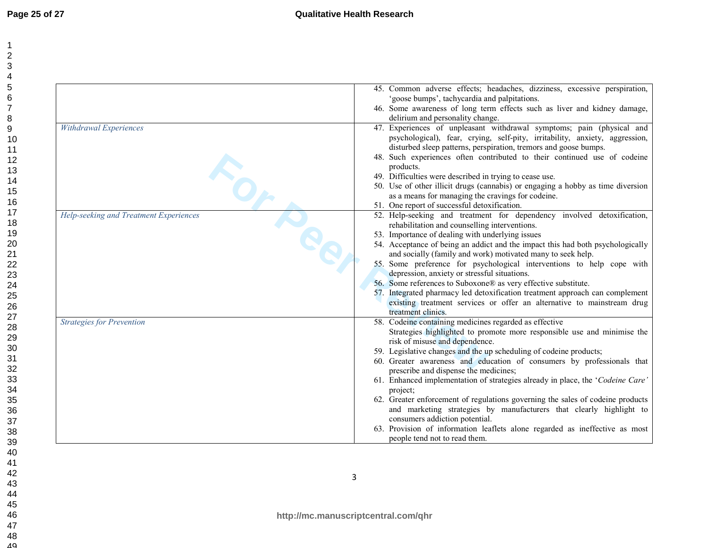| 1                                  |  |
|------------------------------------|--|
|                                    |  |
|                                    |  |
|                                    |  |
|                                    |  |
|                                    |  |
|                                    |  |
|                                    |  |
|                                    |  |
|                                    |  |
|                                    |  |
|                                    |  |
|                                    |  |
|                                    |  |
|                                    |  |
|                                    |  |
|                                    |  |
|                                    |  |
|                                    |  |
|                                    |  |
|                                    |  |
|                                    |  |
|                                    |  |
|                                    |  |
|                                    |  |
|                                    |  |
|                                    |  |
|                                    |  |
|                                    |  |
|                                    |  |
| ∠u<br>29<br>30                     |  |
|                                    |  |
|                                    |  |
| ر<br>31                            |  |
|                                    |  |
|                                    |  |
|                                    |  |
|                                    |  |
|                                    |  |
| - 32<br>33<br>34<br>35<br>36<br>37 |  |
| 38                                 |  |
| .<br>39                            |  |
| 40                                 |  |
| 41                                 |  |
| 42                                 |  |
| 43                                 |  |
|                                    |  |
| 44                                 |  |
| 45                                 |  |
| 46                                 |  |
| 47                                 |  |
| 48                                 |  |
| 10                                 |  |
|                                    |  |

|                                        | 45. Common adverse effects; headaches, dizziness, excessive perspiration,                                                                      |
|----------------------------------------|------------------------------------------------------------------------------------------------------------------------------------------------|
|                                        | 'goose bumps', tachycardia and palpitations.                                                                                                   |
|                                        | 46. Some awareness of long term effects such as liver and kidney damage,                                                                       |
|                                        | delirium and personality change.                                                                                                               |
| Withdrawal Experiences                 | 47. Experiences of unpleasant withdrawal symptoms; pain (physical and                                                                          |
|                                        | psychological), fear, crying, self-pity, irritability, anxiety, aggression,                                                                    |
|                                        | disturbed sleep patterns, perspiration, tremors and goose bumps.                                                                               |
|                                        | 48. Such experiences often contributed to their continued use of codeine                                                                       |
|                                        | products.                                                                                                                                      |
|                                        | 49. Difficulties were described in trying to cease use.                                                                                        |
|                                        | 50. Use of other illicit drugs (cannabis) or engaging a hobby as time diversion                                                                |
|                                        | as a means for managing the cravings for codeine.                                                                                              |
|                                        | 51. One report of successful detoxification.                                                                                                   |
| Help-seeking and Treatment Experiences | 52. Help-seeking and treatment for dependency involved detoxification,                                                                         |
|                                        | rehabilitation and counselling interventions.                                                                                                  |
|                                        | 53. Importance of dealing with underlying issues                                                                                               |
|                                        | 54. Acceptance of being an addict and the impact this had both psychologically                                                                 |
|                                        | and socially (family and work) motivated many to seek help.                                                                                    |
|                                        | 55. Some preference for psychological interventions to help cope with                                                                          |
|                                        | depression, anxiety or stressful situations.                                                                                                   |
|                                        | 56. Some references to Suboxone® as very effective substitute.<br>57. Integrated pharmacy led detoxification treatment approach can complement |
|                                        | existing treatment services or offer an alternative to mainstream drug                                                                         |
|                                        | treatment clinics.                                                                                                                             |
| <b>Strategies for Prevention</b>       | 58. Codeine containing medicines regarded as effective                                                                                         |
|                                        | Strategies highlighted to promote more responsible use and minimise the                                                                        |
|                                        | risk of misuse and dependence.                                                                                                                 |
|                                        | 59. Legislative changes and the up scheduling of codeine products;                                                                             |
|                                        | 60. Greater awareness and education of consumers by professionals that                                                                         |
|                                        | prescribe and dispense the medicines;                                                                                                          |
|                                        | 61. Enhanced implementation of strategies already in place, the 'Codeine Care'                                                                 |
|                                        | project;                                                                                                                                       |
|                                        | 62. Greater enforcement of regulations governing the sales of codeine products                                                                 |
|                                        | and marketing strategies by manufacturers that clearly highlight to                                                                            |
|                                        | consumers addiction potential.                                                                                                                 |
|                                        | 63. Provision of information leaflets alone regarded as ineffective as most                                                                    |
|                                        | people tend not to read them.                                                                                                                  |
|                                        |                                                                                                                                                |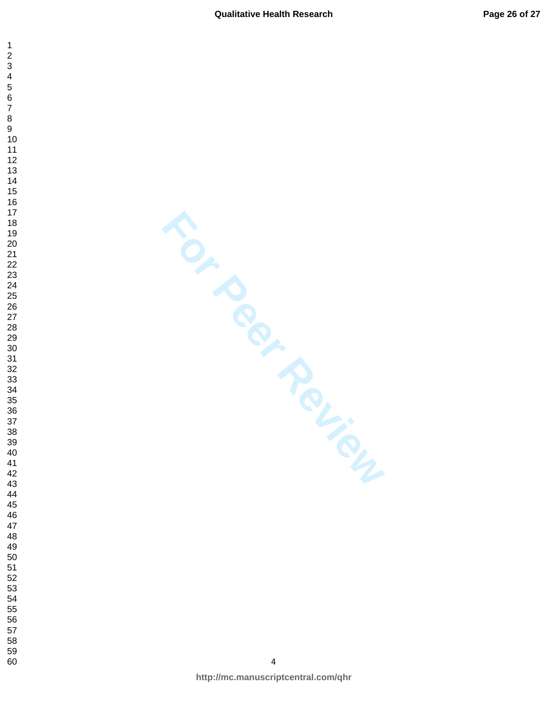$\mathbf{1}$